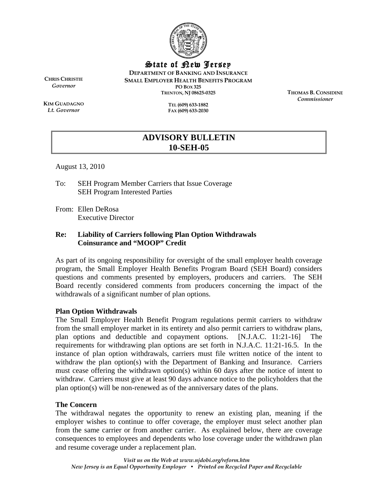

State of New Jersey

**DEPARTMENT OF BANKING AND INSURANCE SMALL EMPLOYER HEALTH BENEFITS PROGRAM PO BOX 325 TRENTON, NJ 08625-0325** 

**CHRIS CHRISTIE** *Governor* 

**KIM GUADAGNO** *Lt. Governor* 

**TEL (609) 633-1882 FAX (609) 633-2030**  **THOMAS B. CONSIDINE** *Commissioner* 

# **ADVISORY BULLETIN 10-SEH-05**

August 13, 2010

To: SEH Program Member Carriers that Issue Coverage SEH Program Interested Parties

From: Ellen DeRosa Executive Director

#### **Re: Liability of Carriers following Plan Option Withdrawals Coinsurance and "MOOP" Credit**

As part of its ongoing responsibility for oversight of the small employer health coverage program, the Small Employer Health Benefits Program Board (SEH Board) considers questions and comments presented by employers, producers and carriers. The SEH Board recently considered comments from producers concerning the impact of the withdrawals of a significant number of plan options.

## **Plan Option Withdrawals**

The Small Employer Health Benefit Program regulations permit carriers to withdraw from the small employer market in its entirety and also permit carriers to withdraw plans, plan options and deductible and copayment options. [N.J.A.C. 11:21-16] The requirements for withdrawing plan options are set forth in N.J.A.C. 11:21-16.5. In the instance of plan option withdrawals, carriers must file written notice of the intent to withdraw the plan option(s) with the Department of Banking and Insurance. Carriers must cease offering the withdrawn option(s) within 60 days after the notice of intent to withdraw. Carriers must give at least 90 days advance notice to the policyholders that the plan option(s) will be non-renewed as of the anniversary dates of the plans.

## **The Concern**

The withdrawal negates the opportunity to renew an existing plan, meaning if the employer wishes to continue to offer coverage, the employer must select another plan from the same carrier or from another carrier. As explained below, there are coverage consequences to employees and dependents who lose coverage under the withdrawn plan and resume coverage under a replacement plan.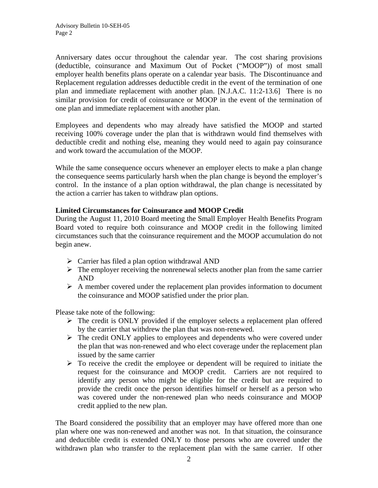Anniversary dates occur throughout the calendar year. The cost sharing provisions (deductible, coinsurance and Maximum Out of Pocket ("MOOP")) of most small employer health benefits plans operate on a calendar year basis. The Discontinuance and Replacement regulation addresses deductible credit in the event of the termination of one plan and immediate replacement with another plan. [N.J.A.C. 11:2-13.6] There is no similar provision for credit of coinsurance or MOOP in the event of the termination of one plan and immediate replacement with another plan.

Employees and dependents who may already have satisfied the MOOP and started receiving 100% coverage under the plan that is withdrawn would find themselves with deductible credit and nothing else, meaning they would need to again pay coinsurance and work toward the accumulation of the MOOP.

While the same consequence occurs whenever an employer elects to make a plan change the consequence seems particularly harsh when the plan change is beyond the employer's control. In the instance of a plan option withdrawal, the plan change is necessitated by the action a carrier has taken to withdraw plan options.

#### **Limited Circumstances for Coinsurance and MOOP Credit**

During the August 11, 2010 Board meeting the Small Employer Health Benefits Program Board voted to require both coinsurance and MOOP credit in the following limited circumstances such that the coinsurance requirement and the MOOP accumulation do not begin anew.

- $\triangleright$  Carrier has filed a plan option withdrawal AND
- $\triangleright$  The employer receiving the nonrenewal selects another plan from the same carrier AND
- $\triangleright$  A member covered under the replacement plan provides information to document the coinsurance and MOOP satisfied under the prior plan.

Please take note of the following:

- $\triangleright$  The credit is ONLY provided if the employer selects a replacement plan offered by the carrier that withdrew the plan that was non-renewed.
- $\triangleright$  The credit ONLY applies to employees and dependents who were covered under the plan that was non-renewed and who elect coverage under the replacement plan issued by the same carrier
- $\triangleright$  To receive the credit the employee or dependent will be required to initiate the request for the coinsurance and MOOP credit. Carriers are not required to identify any person who might be eligible for the credit but are required to provide the credit once the person identifies himself or herself as a person who was covered under the non-renewed plan who needs coinsurance and MOOP credit applied to the new plan.

The Board considered the possibility that an employer may have offered more than one plan where one was non-renewed and another was not. In that situation, the coinsurance and deductible credit is extended ONLY to those persons who are covered under the withdrawn plan who transfer to the replacement plan with the same carrier. If other